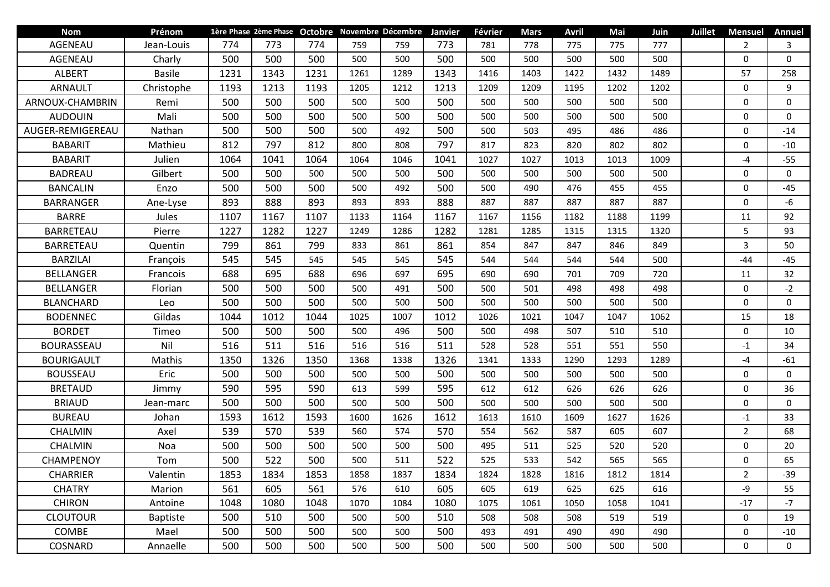| <b>Nom</b>        | Prénom          |      |      |      |      | 1ère Phase 2ème Phase Octobre Novembre Décembre Janvier |      | Février | <b>Mars</b> | <b>Avril</b> | Mai  | Juin | <b>Juillet</b> | <b>Mensuel</b> | Annuel          |
|-------------------|-----------------|------|------|------|------|---------------------------------------------------------|------|---------|-------------|--------------|------|------|----------------|----------------|-----------------|
| AGENEAU           | Jean-Louis      | 774  | 773  | 774  | 759  | 759                                                     | 773  | 781     | 778         | 775          | 775  | 777  |                | 2              | 3               |
| AGENEAU           | Charly          | 500  | 500  | 500  | 500  | 500                                                     | 500  | 500     | 500         | 500          | 500  | 500  |                | $\mathbf 0$    | $\mathbf{0}$    |
| <b>ALBERT</b>     | <b>Basile</b>   | 1231 | 1343 | 1231 | 1261 | 1289                                                    | 1343 | 1416    | 1403        | 1422         | 1432 | 1489 |                | 57             | 258             |
| <b>ARNAULT</b>    | Christophe      | 1193 | 1213 | 1193 | 1205 | 1212                                                    | 1213 | 1209    | 1209        | 1195         | 1202 | 1202 |                | $\mathbf{0}$   | 9               |
| ARNOUX-CHAMBRIN   | Remi            | 500  | 500  | 500  | 500  | 500                                                     | 500  | 500     | 500         | 500          | 500  | 500  |                | $\mathbf 0$    | $\mathbf{0}$    |
| <b>AUDOUIN</b>    | Mali            | 500  | 500  | 500  | 500  | 500                                                     | 500  | 500     | 500         | 500          | 500  | 500  |                | $\mathbf 0$    | $\mathbf{0}$    |
| AUGER-REMIGEREAU  | Nathan          | 500  | 500  | 500  | 500  | 492                                                     | 500  | 500     | 503         | 495          | 486  | 486  |                | $\mathbf 0$    | $-14$           |
| <b>BABARIT</b>    | Mathieu         | 812  | 797  | 812  | 800  | 808                                                     | 797  | 817     | 823         | 820          | 802  | 802  |                | $\mathbf 0$    | $-10$           |
| <b>BABARIT</b>    | Julien          | 1064 | 1041 | 1064 | 1064 | 1046                                                    | 1041 | 1027    | 1027        | 1013         | 1013 | 1009 |                | -4             | $-55$           |
| <b>BADREAU</b>    | Gilbert         | 500  | 500  | 500  | 500  | 500                                                     | 500  | 500     | 500         | 500          | 500  | 500  |                | 0              | $\mathbf{0}$    |
| <b>BANCALIN</b>   | Enzo            | 500  | 500  | 500  | 500  | 492                                                     | 500  | 500     | 490         | 476          | 455  | 455  |                | $\Omega$       | $-45$           |
| <b>BARRANGER</b>  | Ane-Lyse        | 893  | 888  | 893  | 893  | 893                                                     | 888  | 887     | 887         | 887          | 887  | 887  |                | $\mathbf 0$    | -6              |
| <b>BARRE</b>      | Jules           | 1107 | 1167 | 1107 | 1133 | 1164                                                    | 1167 | 1167    | 1156        | 1182         | 1188 | 1199 |                | 11             | 92              |
| BARRETEAU         | Pierre          | 1227 | 1282 | 1227 | 1249 | 1286                                                    | 1282 | 1281    | 1285        | 1315         | 1315 | 1320 |                | 5              | 93              |
| BARRETEAU         | Quentin         | 799  | 861  | 799  | 833  | 861                                                     | 861  | 854     | 847         | 847          | 846  | 849  |                | 3              | 50              |
| <b>BARZILAI</b>   | François        | 545  | 545  | 545  | 545  | 545                                                     | 545  | 544     | 544         | 544          | 544  | 500  |                | $-44$          | $-45$           |
| <b>BELLANGER</b>  | Francois        | 688  | 695  | 688  | 696  | 697                                                     | 695  | 690     | 690         | 701          | 709  | 720  |                | 11             | 32 <sub>2</sub> |
| <b>BELLANGER</b>  | Florian         | 500  | 500  | 500  | 500  | 491                                                     | 500  | 500     | 501         | 498          | 498  | 498  |                | $\mathbf 0$    | $-2$            |
| <b>BLANCHARD</b>  | Leo             | 500  | 500  | 500  | 500  | 500                                                     | 500  | 500     | 500         | 500          | 500  | 500  |                | $\mathbf 0$    | $\mathbf{0}$    |
| <b>BODENNEC</b>   | Gildas          | 1044 | 1012 | 1044 | 1025 | 1007                                                    | 1012 | 1026    | 1021        | 1047         | 1047 | 1062 |                | 15             | 18              |
| <b>BORDET</b>     | Timeo           | 500  | 500  | 500  | 500  | 496                                                     | 500  | 500     | 498         | 507          | 510  | 510  |                | $\mathbf 0$    | 10              |
| <b>BOURASSEAU</b> | Nil             | 516  | 511  | 516  | 516  | 516                                                     | 511  | 528     | 528         | 551          | 551  | 550  |                | $-1$           | 34              |
| <b>BOURIGAULT</b> | Mathis          | 1350 | 1326 | 1350 | 1368 | 1338                                                    | 1326 | 1341    | 1333        | 1290         | 1293 | 1289 |                | -4             | $-61$           |
| <b>BOUSSEAU</b>   | Eric            | 500  | 500  | 500  | 500  | 500                                                     | 500  | 500     | 500         | 500          | 500  | 500  |                | $\mathbf 0$    | $\mathbf{0}$    |
| <b>BRETAUD</b>    | Jimmy           | 590  | 595  | 590  | 613  | 599                                                     | 595  | 612     | 612         | 626          | 626  | 626  |                | $\mathbf 0$    | 36              |
| <b>BRIAUD</b>     | Jean-marc       | 500  | 500  | 500  | 500  | 500                                                     | 500  | 500     | 500         | 500          | 500  | 500  |                | $\mathbf 0$    | $\mathbf{0}$    |
| <b>BUREAU</b>     | Johan           | 1593 | 1612 | 1593 | 1600 | 1626                                                    | 1612 | 1613    | 1610        | 1609         | 1627 | 1626 |                | $-1$           | 33              |
| <b>CHALMIN</b>    | Axel            | 539  | 570  | 539  | 560  | 574                                                     | 570  | 554     | 562         | 587          | 605  | 607  |                | 2              | 68              |
| CHALMIN           | Noa             | 500  | 500  | 500  | 500  | 500                                                     | 500  | 495     | 511         | 525          | 520  | 520  |                | 0              | 20              |
| CHAMPENOY         | Tom             | 500  | 522  | 500  | 500  | 511                                                     | 522  | 525     | 533         | 542          | 565  | 565  |                | $\Omega$       | 65              |
| <b>CHARRIER</b>   | Valentin        | 1853 | 1834 | 1853 | 1858 | 1837                                                    | 1834 | 1824    | 1828        | 1816         | 1812 | 1814 |                | $\overline{2}$ | $-39$           |
| <b>CHATRY</b>     | Marion          | 561  | 605  | 561  | 576  | 610                                                     | 605  | 605     | 619         | 625          | 625  | 616  |                | -9             | 55              |
| <b>CHIRON</b>     | Antoine         | 1048 | 1080 | 1048 | 1070 | 1084                                                    | 1080 | 1075    | 1061        | 1050         | 1058 | 1041 |                | $-17$          | -7              |
| <b>CLOUTOUR</b>   | <b>Baptiste</b> | 500  | 510  | 500  | 500  | 500                                                     | 510  | 508     | 508         | 508          | 519  | 519  |                | 0              | 19              |
| COMBE             | Mael            | 500  | 500  | 500  | 500  | 500                                                     | 500  | 493     | 491         | 490          | 490  | 490  |                | $\mathbf 0$    | $-10$           |
| COSNARD           | Annaelle        | 500  | 500  | 500  | 500  | 500                                                     | 500  | 500     | 500         | 500          | 500  | 500  |                | 0              | $\mathbf 0$     |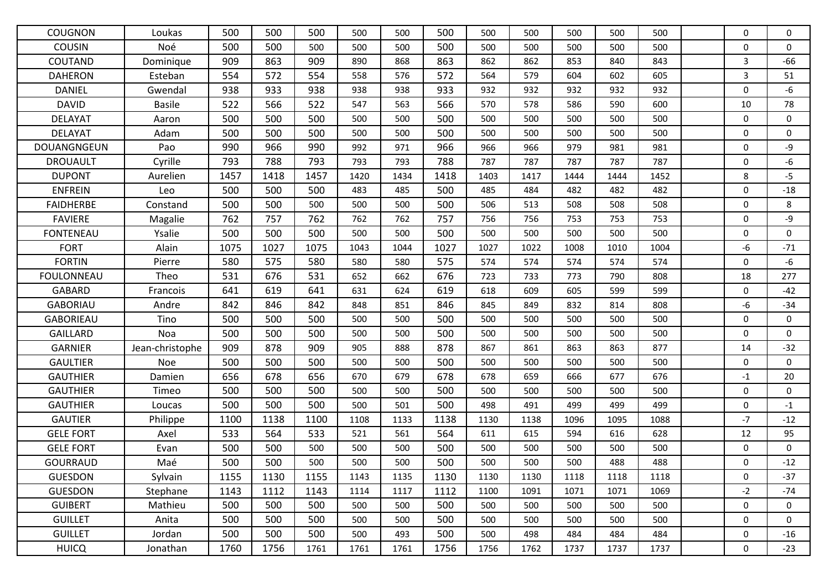| <b>COUGNON</b>    | Loukas          | 500  | 500  | 500  | 500  | 500  | 500  | 500  | 500  | 500  | 500  | 500  | $\mathbf{0}$ | 0            |
|-------------------|-----------------|------|------|------|------|------|------|------|------|------|------|------|--------------|--------------|
| <b>COUSIN</b>     | Noé             | 500  | 500  | 500  | 500  | 500  | 500  | 500  | 500  | 500  | 500  | 500  | $\Omega$     | $\Omega$     |
| COUTAND           | Dominique       | 909  | 863  | 909  | 890  | 868  | 863  | 862  | 862  | 853  | 840  | 843  | 3            | $-66$        |
| <b>DAHERON</b>    | Esteban         | 554  | 572  | 554  | 558  | 576  | 572  | 564  | 579  | 604  | 602  | 605  | 3            | 51           |
| <b>DANIEL</b>     | Gwendal         | 938  | 933  | 938  | 938  | 938  | 933  | 932  | 932  | 932  | 932  | 932  | $\mathbf 0$  | -6           |
| <b>DAVID</b>      | <b>Basile</b>   | 522  | 566  | 522  | 547  | 563  | 566  | 570  | 578  | 586  | 590  | 600  | 10           | 78           |
| <b>DELAYAT</b>    | Aaron           | 500  | 500  | 500  | 500  | 500  | 500  | 500  | 500  | 500  | 500  | 500  | $\mathbf 0$  | $\mathbf{0}$ |
| <b>DELAYAT</b>    | Adam            | 500  | 500  | 500  | 500  | 500  | 500  | 500  | 500  | 500  | 500  | 500  | $\mathbf 0$  | $\mathbf{0}$ |
| DOUANGNGEUN       | Pao             | 990  | 966  | 990  | 992  | 971  | 966  | 966  | 966  | 979  | 981  | 981  | $\mathbf{0}$ | -9           |
| <b>DROUAULT</b>   | Cyrille         | 793  | 788  | 793  | 793  | 793  | 788  | 787  | 787  | 787  | 787  | 787  | $\mathbf 0$  | $-6$         |
| <b>DUPONT</b>     | Aurelien        | 1457 | 1418 | 1457 | 1420 | 1434 | 1418 | 1403 | 1417 | 1444 | 1444 | 1452 | 8            | $-5$         |
| <b>ENFREIN</b>    | Leo             | 500  | 500  | 500  | 483  | 485  | 500  | 485  | 484  | 482  | 482  | 482  | $\pmb{0}$    | $-18$        |
| <b>FAIDHERBE</b>  | Constand        | 500  | 500  | 500  | 500  | 500  | 500  | 506  | 513  | 508  | 508  | 508  | $\mathbf 0$  | 8            |
| <b>FAVIERE</b>    | Magalie         | 762  | 757  | 762  | 762  | 762  | 757  | 756  | 756  | 753  | 753  | 753  | $\Omega$     | -9           |
| <b>FONTENEAU</b>  | Ysalie          | 500  | 500  | 500  | 500  | 500  | 500  | 500  | 500  | 500  | 500  | 500  | $\mathbf 0$  | $\mathbf{0}$ |
| <b>FORT</b>       | Alain           | 1075 | 1027 | 1075 | 1043 | 1044 | 1027 | 1027 | 1022 | 1008 | 1010 | 1004 | -6           | $-71$        |
| <b>FORTIN</b>     | Pierre          | 580  | 575  | 580  | 580  | 580  | 575  | 574  | 574  | 574  | 574  | 574  | $\mathbf 0$  | $-6$         |
| <b>FOULONNEAU</b> | Theo            | 531  | 676  | 531  | 652  | 662  | 676  | 723  | 733  | 773  | 790  | 808  | 18           | 277          |
| <b>GABARD</b>     | Francois        | 641  | 619  | 641  | 631  | 624  | 619  | 618  | 609  | 605  | 599  | 599  | $\mathbf 0$  | $-42$        |
| <b>GABORIAU</b>   | Andre           | 842  | 846  | 842  | 848  | 851  | 846  | 845  | 849  | 832  | 814  | 808  | -6           | $-34$        |
| <b>GABORIEAU</b>  | Tino            | 500  | 500  | 500  | 500  | 500  | 500  | 500  | 500  | 500  | 500  | 500  | $\mathbf 0$  | $\mathbf{0}$ |
| <b>GAILLARD</b>   | Noa             | 500  | 500  | 500  | 500  | 500  | 500  | 500  | 500  | 500  | 500  | 500  | $\mathbf 0$  | $\mathbf{0}$ |
| <b>GARNIER</b>    | Jean-christophe | 909  | 878  | 909  | 905  | 888  | 878  | 867  | 861  | 863  | 863  | 877  | 14           | $-32$        |
| <b>GAULTIER</b>   | Noe             | 500  | 500  | 500  | 500  | 500  | 500  | 500  | 500  | 500  | 500  | 500  | $\mathbf 0$  | $\Omega$     |
| <b>GAUTHIER</b>   | Damien          | 656  | 678  | 656  | 670  | 679  | 678  | 678  | 659  | 666  | 677  | 676  | $-1$         | 20           |
| <b>GAUTHIER</b>   | Timeo           | 500  | 500  | 500  | 500  | 500  | 500  | 500  | 500  | 500  | 500  | 500  | $\mathbf 0$  | $\mathbf{0}$ |
| <b>GAUTHIER</b>   | Loucas          | 500  | 500  | 500  | 500  | 501  | 500  | 498  | 491  | 499  | 499  | 499  | $\mathbf 0$  | $-1$         |
| <b>GAUTIER</b>    | Philippe        | 1100 | 1138 | 1100 | 1108 | 1133 | 1138 | 1130 | 1138 | 1096 | 1095 | 1088 | $-7$         | $-12$        |
| <b>GELE FORT</b>  | Axel            | 533  | 564  | 533  | 521  | 561  | 564  | 611  | 615  | 594  | 616  | 628  | 12           | 95           |
| <b>GELE FORT</b>  | Evan            | 500  | 500  | 500  | 500  | 500  | 500  | 500  | 500  | 500  | 500  | 500  | $\mathbf 0$  | $\mathbf 0$  |
| <b>GOURRAUD</b>   | Maé             | 500  | 500  | 500  | 500  | 500  | 500  | 500  | 500  | 500  | 488  | 488  | $\mathbf 0$  | $-12$        |
| <b>GUESDON</b>    | Sylvain         | 1155 | 1130 | 1155 | 1143 | 1135 | 1130 | 1130 | 1130 | 1118 | 1118 | 1118 | 0            | $-37$        |
| <b>GUESDON</b>    | Stephane        | 1143 | 1112 | 1143 | 1114 | 1117 | 1112 | 1100 | 1091 | 1071 | 1071 | 1069 | $-2$         | $-74$        |
| <b>GUIBERT</b>    | Mathieu         | 500  | 500  | 500  | 500  | 500  | 500  | 500  | 500  | 500  | 500  | 500  | 0            | 0            |
| <b>GUILLET</b>    | Anita           | 500  | 500  | 500  | 500  | 500  | 500  | 500  | 500  | 500  | 500  | 500  | $\mathbf 0$  | 0            |
| <b>GUILLET</b>    | Jordan          | 500  | 500  | 500  | 500  | 493  | 500  | 500  | 498  | 484  | 484  | 484  | $\pmb{0}$    | $-16$        |
| <b>HUICQ</b>      | Jonathan        | 1760 | 1756 | 1761 | 1761 | 1761 | 1756 | 1756 | 1762 | 1737 | 1737 | 1737 | 0            | $-23$        |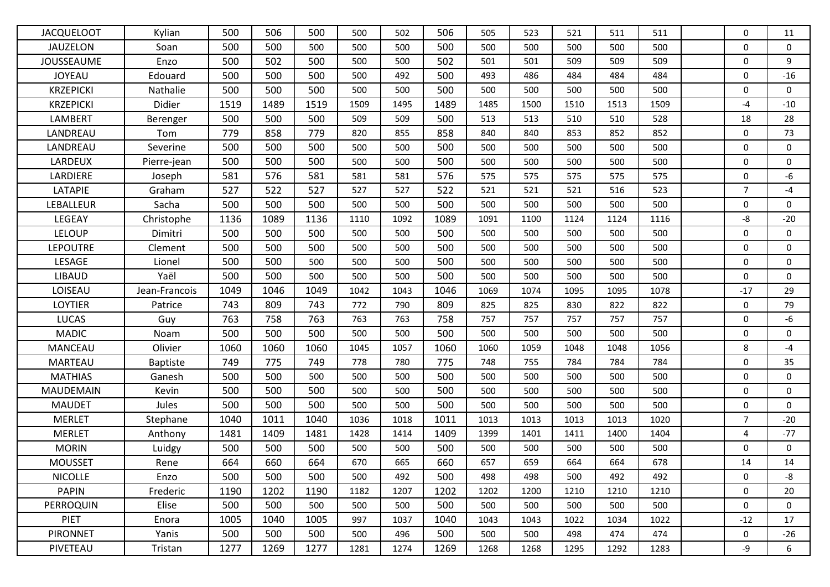| <b>JACQUELOOT</b> | Kylian          | 500  | 506  | 500  | 500  | 502  | 506  | 505  | 523  | 521  | 511  | 511  | $\Omega$       | 11           |
|-------------------|-----------------|------|------|------|------|------|------|------|------|------|------|------|----------------|--------------|
| <b>JAUZELON</b>   | Soan            | 500  | 500  | 500  | 500  | 500  | 500  | 500  | 500  | 500  | 500  | 500  | $\mathbf{0}$   | $\mathbf{0}$ |
| <b>JOUSSEAUME</b> | Enzo            | 500  | 502  | 500  | 500  | 500  | 502  | 501  | 501  | 509  | 509  | 509  | $\mathbf 0$    | 9            |
| <b>JOYEAU</b>     | Edouard         | 500  | 500  | 500  | 500  | 492  | 500  | 493  | 486  | 484  | 484  | 484  | $\mathbf 0$    | $-16$        |
| <b>KRZEPICKI</b>  | Nathalie        | 500  | 500  | 500  | 500  | 500  | 500  | 500  | 500  | 500  | 500  | 500  | $\mathbf 0$    | 0            |
| <b>KRZEPICKI</b>  | Didier          | 1519 | 1489 | 1519 | 1509 | 1495 | 1489 | 1485 | 1500 | 1510 | 1513 | 1509 | $-4$           | $-10$        |
| LAMBERT           | Berenger        | 500  | 500  | 500  | 509  | 509  | 500  | 513  | 513  | 510  | 510  | 528  | 18             | 28           |
| LANDREAU          | Tom             | 779  | 858  | 779  | 820  | 855  | 858  | 840  | 840  | 853  | 852  | 852  | $\mathbf 0$    | 73           |
| LANDREAU          | Severine        | 500  | 500  | 500  | 500  | 500  | 500  | 500  | 500  | 500  | 500  | 500  | $\mathbf{0}$   | $\mathbf{0}$ |
| LARDEUX           | Pierre-jean     | 500  | 500  | 500  | 500  | 500  | 500  | 500  | 500  | 500  | 500  | 500  | $\mathbf 0$    | $\mathbf 0$  |
| LARDIERE          | Joseph          | 581  | 576  | 581  | 581  | 581  | 576  | 575  | 575  | 575  | 575  | 575  | $\mathbf 0$    | $-6$         |
| LATAPIE           | Graham          | 527  | 522  | 527  | 527  | 527  | 522  | 521  | 521  | 521  | 516  | 523  | $\overline{7}$ | -4           |
| LEBALLEUR         | Sacha           | 500  | 500  | 500  | 500  | 500  | 500  | 500  | 500  | 500  | 500  | 500  | $\pmb{0}$      | 0            |
| LEGEAY            | Christophe      | 1136 | 1089 | 1136 | 1110 | 1092 | 1089 | 1091 | 1100 | 1124 | 1124 | 1116 | -8             | $-20$        |
| LELOUP            | Dimitri         | 500  | 500  | 500  | 500  | 500  | 500  | 500  | 500  | 500  | 500  | 500  | $\mathbf 0$    | $\mathbf{0}$ |
| <b>LEPOUTRE</b>   | Clement         | 500  | 500  | 500  | 500  | 500  | 500  | 500  | 500  | 500  | 500  | 500  | $\mathbf{0}$   | $\mathbf{0}$ |
| LESAGE            | Lionel          | 500  | 500  | 500  | 500  | 500  | 500  | 500  | 500  | 500  | 500  | 500  | $\mathbf 0$    | 0            |
| <b>LIBAUD</b>     | Yaël            | 500  | 500  | 500  | 500  | 500  | 500  | 500  | 500  | 500  | 500  | 500  | $\mathbf 0$    | 0            |
| LOISEAU           | Jean-Francois   | 1049 | 1046 | 1049 | 1042 | 1043 | 1046 | 1069 | 1074 | 1095 | 1095 | 1078 | $-17$          | 29           |
| <b>LOYTIER</b>    | Patrice         | 743  | 809  | 743  | 772  | 790  | 809  | 825  | 825  | 830  | 822  | 822  | $\mathbf 0$    | 79           |
| <b>LUCAS</b>      | Guy             | 763  | 758  | 763  | 763  | 763  | 758  | 757  | 757  | 757  | 757  | 757  | $\mathbf 0$    | -6           |
| <b>MADIC</b>      | Noam            | 500  | 500  | 500  | 500  | 500  | 500  | 500  | 500  | 500  | 500  | 500  | $\mathbf 0$    | $\mathbf{0}$ |
| <b>MANCEAU</b>    | Olivier         | 1060 | 1060 | 1060 | 1045 | 1057 | 1060 | 1060 | 1059 | 1048 | 1048 | 1056 | 8              | $-4$         |
| <b>MARTEAU</b>    | <b>Baptiste</b> | 749  | 775  | 749  | 778  | 780  | 775  | 748  | 755  | 784  | 784  | 784  | $\mathbf 0$    | 35           |
| <b>MATHIAS</b>    | Ganesh          | 500  | 500  | 500  | 500  | 500  | 500  | 500  | 500  | 500  | 500  | 500  | $\mathbf 0$    | 0            |
| <b>MAUDEMAIN</b>  | Kevin           | 500  | 500  | 500  | 500  | 500  | 500  | 500  | 500  | 500  | 500  | 500  | $\mathbf 0$    | 0            |
| <b>MAUDET</b>     | Jules           | 500  | 500  | 500  | 500  | 500  | 500  | 500  | 500  | 500  | 500  | 500  | $\mathbf 0$    | $\mathbf{0}$ |
| <b>MERLET</b>     | Stephane        | 1040 | 1011 | 1040 | 1036 | 1018 | 1011 | 1013 | 1013 | 1013 | 1013 | 1020 | $\overline{7}$ | $-20$        |
| <b>MERLET</b>     | Anthony         | 1481 | 1409 | 1481 | 1428 | 1414 | 1409 | 1399 | 1401 | 1411 | 1400 | 1404 | $\overline{4}$ | $-77$        |
| <b>MORIN</b>      | Luidgy          | 500  | 500  | 500  | 500  | 500  | 500  | 500  | 500  | 500  | 500  | 500  | $\mathbf 0$    | $\mathbf 0$  |
| <b>MOUSSET</b>    | Rene            | 664  | 660  | 664  | 670  | 665  | 660  | 657  | 659  | 664  | 664  | 678  | 14             | 14           |
| <b>NICOLLE</b>    | Enzo            | 500  | 500  | 500  | 500  | 492  | 500  | 498  | 498  | 500  | 492  | 492  | $\mathbf 0$    | -8           |
| <b>PAPIN</b>      | Frederic        | 1190 | 1202 | 1190 | 1182 | 1207 | 1202 | 1202 | 1200 | 1210 | 1210 | 1210 | $\mathbf 0$    | 20           |
| PERROQUIN         | Elise           | 500  | 500  | 500  | 500  | 500  | 500  | 500  | 500  | 500  | 500  | 500  | 0              | 0            |
| <b>PIET</b>       | Enora           | 1005 | 1040 | 1005 | 997  | 1037 | 1040 | 1043 | 1043 | 1022 | 1034 | 1022 | $-12$          | 17           |
| <b>PIRONNET</b>   | Yanis           | 500  | 500  | 500  | 500  | 496  | 500  | 500  | 500  | 498  | 474  | 474  | 0              | $-26$        |
| PIVETEAU          | Tristan         | 1277 | 1269 | 1277 | 1281 | 1274 | 1269 | 1268 | 1268 | 1295 | 1292 | 1283 | -9             | 6            |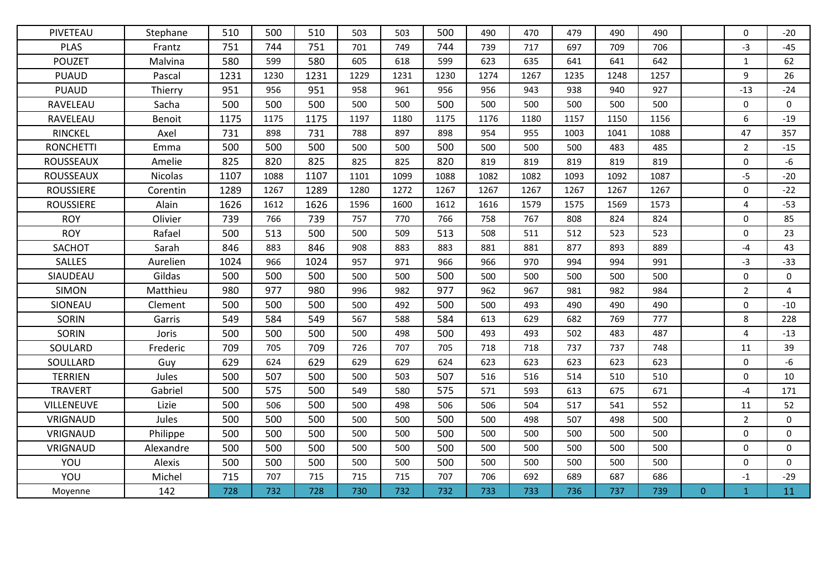| PIVETEAU         | Stephane  | 510  | 500  | 510  | 503  | 503  | 500  | 490  | 470  | 479  | 490  | 490  |                | $\Omega$       | $-20$          |
|------------------|-----------|------|------|------|------|------|------|------|------|------|------|------|----------------|----------------|----------------|
| <b>PLAS</b>      | Frantz    | 751  | 744  | 751  | 701  | 749  | 744  | 739  | 717  | 697  | 709  | 706  |                | $-3$           | $-45$          |
| <b>POUZET</b>    | Malvina   | 580  | 599  | 580  | 605  | 618  | 599  | 623  | 635  | 641  | 641  | 642  |                | $\mathbf{1}$   | 62             |
| <b>PUAUD</b>     | Pascal    | 1231 | 1230 | 1231 | 1229 | 1231 | 1230 | 1274 | 1267 | 1235 | 1248 | 1257 |                | 9              | 26             |
| <b>PUAUD</b>     | Thierry   | 951  | 956  | 951  | 958  | 961  | 956  | 956  | 943  | 938  | 940  | 927  |                | $-13$          | $-24$          |
| RAVELEAU         | Sacha     | 500  | 500  | 500  | 500  | 500  | 500  | 500  | 500  | 500  | 500  | 500  |                | $\mathbf 0$    | $\mathbf 0$    |
| RAVELEAU         | Benoit    | 1175 | 1175 | 1175 | 1197 | 1180 | 1175 | 1176 | 1180 | 1157 | 1150 | 1156 |                | 6              | $-19$          |
| <b>RINCKEL</b>   | Axel      | 731  | 898  | 731  | 788  | 897  | 898  | 954  | 955  | 1003 | 1041 | 1088 |                | 47             | 357            |
| <b>RONCHETTI</b> | Emma      | 500  | 500  | 500  | 500  | 500  | 500  | 500  | 500  | 500  | 483  | 485  |                | $\overline{2}$ | $-15$          |
| <b>ROUSSEAUX</b> | Amelie    | 825  | 820  | 825  | 825  | 825  | 820  | 819  | 819  | 819  | 819  | 819  |                | 0              | -6             |
| ROUSSEAUX        | Nicolas   | 1107 | 1088 | 1107 | 1101 | 1099 | 1088 | 1082 | 1082 | 1093 | 1092 | 1087 |                | $-5$           | $-20$          |
| <b>ROUSSIERE</b> | Corentin  | 1289 | 1267 | 1289 | 1280 | 1272 | 1267 | 1267 | 1267 | 1267 | 1267 | 1267 |                | $\mathbf 0$    | $-22$          |
| <b>ROUSSIERE</b> | Alain     | 1626 | 1612 | 1626 | 1596 | 1600 | 1612 | 1616 | 1579 | 1575 | 1569 | 1573 |                | $\overline{4}$ | $-53$          |
| <b>ROY</b>       | Olivier   | 739  | 766  | 739  | 757  | 770  | 766  | 758  | 767  | 808  | 824  | 824  |                | $\mathbf{0}$   | 85             |
| <b>ROY</b>       | Rafael    | 500  | 513  | 500  | 500  | 509  | 513  | 508  | 511  | 512  | 523  | 523  |                | $\Omega$       | 23             |
| SACHOT           | Sarah     | 846  | 883  | 846  | 908  | 883  | 883  | 881  | 881  | 877  | 893  | 889  |                | $-4$           | 43             |
| <b>SALLES</b>    | Aurelien  | 1024 | 966  | 1024 | 957  | 971  | 966  | 966  | 970  | 994  | 994  | 991  |                | $-3$           | $-33$          |
| SIAUDEAU         | Gildas    | 500  | 500  | 500  | 500  | 500  | 500  | 500  | 500  | 500  | 500  | 500  |                | $\mathbf{0}$   | $\mathbf{0}$   |
| <b>SIMON</b>     | Matthieu  | 980  | 977  | 980  | 996  | 982  | 977  | 962  | 967  | 981  | 982  | 984  |                | $\overline{2}$ | $\overline{4}$ |
| SIONEAU          | Clement   | 500  | 500  | 500  | 500  | 492  | 500  | 500  | 493  | 490  | 490  | 490  |                | $\mathbf 0$    | $-10$          |
| <b>SORIN</b>     | Garris    | 549  | 584  | 549  | 567  | 588  | 584  | 613  | 629  | 682  | 769  | 777  |                | 8              | 228            |
| <b>SORIN</b>     | Joris     | 500  | 500  | 500  | 500  | 498  | 500  | 493  | 493  | 502  | 483  | 487  |                | $\overline{4}$ | $-13$          |
| SOULARD          | Frederic  | 709  | 705  | 709  | 726  | 707  | 705  | 718  | 718  | 737  | 737  | 748  |                | 11             | 39             |
| SOULLARD         | Guy       | 629  | 624  | 629  | 629  | 629  | 624  | 623  | 623  | 623  | 623  | 623  |                | $\Omega$       | -6             |
| <b>TERRIEN</b>   | Jules     | 500  | 507  | 500  | 500  | 503  | 507  | 516  | 516  | 514  | 510  | 510  |                | 0              | 10             |
| <b>TRAVERT</b>   | Gabriel   | 500  | 575  | 500  | 549  | 580  | 575  | 571  | 593  | 613  | 675  | 671  |                | $-4$           | 171            |
| VILLENEUVE       | Lizie     | 500  | 506  | 500  | 500  | 498  | 506  | 506  | 504  | 517  | 541  | 552  |                | 11             | 52             |
| VRIGNAUD         | Jules     | 500  | 500  | 500  | 500  | 500  | 500  | 500  | 498  | 507  | 498  | 500  |                | $\overline{2}$ | $\mathbf 0$    |
| VRIGNAUD         | Philippe  | 500  | 500  | 500  | 500  | 500  | 500  | 500  | 500  | 500  | 500  | 500  |                | $\Omega$       | $\mathbf 0$    |
| VRIGNAUD         | Alexandre | 500  | 500  | 500  | 500  | 500  | 500  | 500  | 500  | 500  | 500  | 500  |                | 0              | $\mathbf{0}$   |
| YOU              | Alexis    | 500  | 500  | 500  | 500  | 500  | 500  | 500  | 500  | 500  | 500  | 500  |                | 0              | 0              |
| YOU              | Michel    | 715  | 707  | 715  | 715  | 715  | 707  | 706  | 692  | 689  | 687  | 686  |                | $-1$           | $-29$          |
| Moyenne          | 142       | 728  | 732  | 728  | 730  | 732  | 732  | 733  | 733  | 736  | 737  | 739  | $\overline{0}$ | $\mathbf{1}$   | 11             |